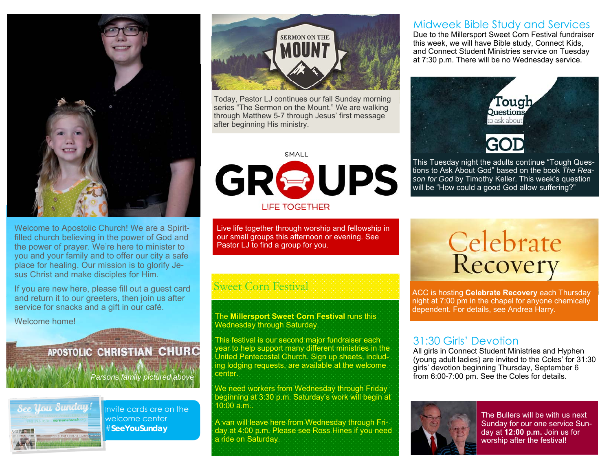

Welcome to Apostolic Church! We are a Spiritfilled church believing in the power of God and the power of prayer. We're here to minister to you and your family and to offer our city a safe place for healing. Our mission is to glorify Jesus Christ and make disciples for Him.

If you are new here, please fill out a guest card and return it to our greeters, then join us after service for snacks and a gift in our café.

Welcome home!

#### **APOSTOLIC CHRISTIAN CHURC**

*Parsons family pictured above* 



Invite cards are on the welcome center #**SeeYouSunday** 



Today, Pastor LJ continues our fall Sunday morning series "The Sermon on the Mount." We are walking through Matthew 5-7 through Jesus' first message after beginning His ministry.

## **SMALL**

# GROUPS

**LIFE TOGETHER** 

Live life together through worship and fellowship in our small groups this afternoon or evening. See Pastor LJ to find a group for you.

#### Sweet Corn Festival

#### The **Millersport Sweet Corn Festival** runs this Wednesday through Saturday.

This festival is our second major fundraiser each year to help support many different ministries in the United Pentecostal Church. Sign up sheets, including lodging requests, are available at the welcome center.

We need workers from Wednesday through Friday beginning at 3:30 p.m. Saturday's work will begin at 10:00 a.m..

A van will leave here from Wednesday through Friday at 4:00 p.m. Please see Ross Hines if you need a ride on Saturday.

#### Midweek Bible Study and Services

Due to the Millersport Sweet Corn Festival fundraiser this week, we will have Bible study, Connect Kids, and Connect Student Ministries service on Tuesday at 7:30 p.m. There will be no Wednesday service.



This Tuesday night the adults continue "Tough Questions to Ask About God" based on the book *The Reason for God* by Timothy Keller. This week's question will be "How could a good God allow suffering?"

# **Celebrate**<br>Recovery

ACC is hosting **Celebrate Recovery** each Thursday night at 7:00 pm in the chapel for anyone chemically dependent. For details, see Andrea Harry.

#### 31:30 Girls' Devotion

All girls in Connect Student Ministries and Hyphen (young adult ladies) are invited to the Coles' for 31:30 girls' devotion beginning Thursday, September 6 from 6:00-7:00 pm. See the Coles for details.



The Bullers will be with us next Sunday for our one service Sunday at **12:00 p.m.** Join us for worship after the festival!